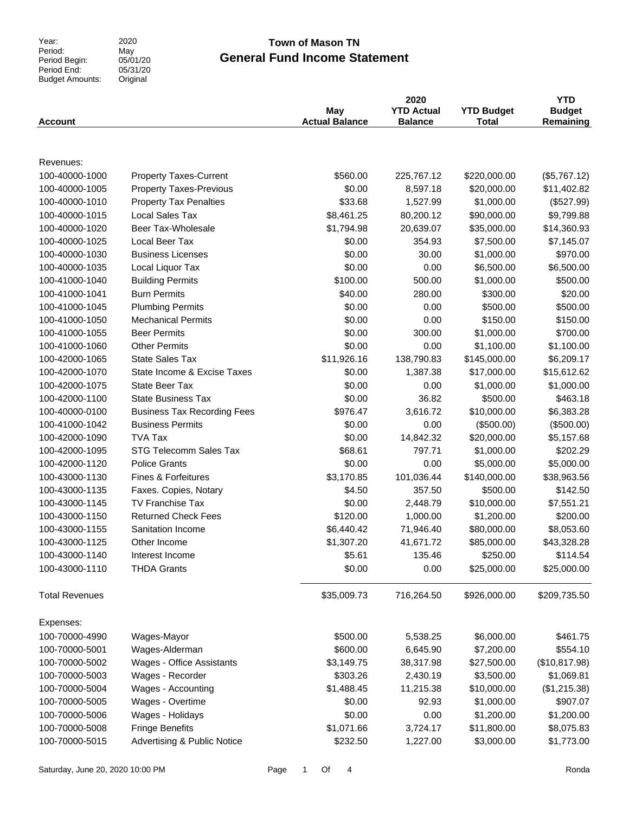Year:<br>Period: Period Begin: Period End: Budget Amounts: 2020 Original

## May 05/01/20  $05/31/20$

## **General Fund Income Statement Town of Mason TN**

| <b>Account</b>        |                                        | May<br><b>Actual Balance</b> | 2020<br><b>YTD Actual</b><br><b>Balance</b> | <b>YTD Budget</b><br>Total | <b>YTD</b><br><b>Budget</b><br>Remaining |
|-----------------------|----------------------------------------|------------------------------|---------------------------------------------|----------------------------|------------------------------------------|
| Revenues:             |                                        |                              |                                             |                            |                                          |
| 100-40000-1000        | <b>Property Taxes-Current</b>          | \$560.00                     | 225,767.12                                  | \$220,000.00               | (\$5,767.12)                             |
| 100-40000-1005        | <b>Property Taxes-Previous</b>         | \$0.00                       | 8,597.18                                    | \$20,000.00                | \$11,402.82                              |
| 100-40000-1010        | <b>Property Tax Penalties</b>          | \$33.68                      | 1,527.99                                    | \$1,000.00                 | (\$527.99)                               |
| 100-40000-1015        | <b>Local Sales Tax</b>                 | \$8,461.25                   | 80,200.12                                   | \$90,000.00                | \$9,799.88                               |
| 100-40000-1020        | Beer Tax-Wholesale                     | \$1,794.98                   | 20,639.07                                   | \$35,000.00                | \$14,360.93                              |
| 100-40000-1025        | Local Beer Tax                         | \$0.00                       | 354.93                                      | \$7,500.00                 | \$7,145.07                               |
| 100-40000-1030        | <b>Business Licenses</b>               | \$0.00                       | 30.00                                       | \$1,000.00                 | \$970.00                                 |
| 100-40000-1035        | Local Liquor Tax                       | \$0.00                       | 0.00                                        | \$6,500.00                 | \$6,500.00                               |
| 100-41000-1040        | <b>Building Permits</b>                | \$100.00                     | 500.00                                      | \$1,000.00                 | \$500.00                                 |
| 100-41000-1041        | <b>Burn Permits</b>                    | \$40.00                      | 280.00                                      | \$300.00                   | \$20.00                                  |
| 100-41000-1045        | <b>Plumbing Permits</b>                | \$0.00                       | 0.00                                        | \$500.00                   | \$500.00                                 |
| 100-41000-1050        | <b>Mechanical Permits</b>              | \$0.00                       | 0.00                                        | \$150.00                   | \$150.00                                 |
| 100-41000-1055        | <b>Beer Permits</b>                    | \$0.00                       | 300.00                                      | \$1,000.00                 | \$700.00                                 |
| 100-41000-1060        | <b>Other Permits</b>                   | \$0.00                       | 0.00                                        | \$1,100.00                 | \$1,100.00                               |
| 100-42000-1065        | <b>State Sales Tax</b>                 | \$11,926.16                  | 138,790.83                                  | \$145,000.00               | \$6,209.17                               |
| 100-42000-1070        | State Income & Excise Taxes            | \$0.00                       | 1,387.38                                    | \$17,000.00                | \$15,612.62                              |
| 100-42000-1075        | State Beer Tax                         | \$0.00                       | 0.00                                        | \$1,000.00                 | \$1,000.00                               |
| 100-42000-1100        | <b>State Business Tax</b>              | \$0.00                       | 36.82                                       | \$500.00                   | \$463.18                                 |
| 100-40000-0100        | <b>Business Tax Recording Fees</b>     | \$976.47                     | 3,616.72                                    | \$10,000.00                | \$6,383.28                               |
| 100-41000-1042        | <b>Business Permits</b>                | \$0.00                       | 0.00                                        | (\$500.00)                 | (\$500.00)                               |
| 100-42000-1090        | <b>TVA Tax</b>                         | \$0.00                       | 14,842.32                                   | \$20,000.00                | \$5,157.68                               |
| 100-42000-1095        | STG Telecomm Sales Tax                 | \$68.61                      | 797.71                                      | \$1,000.00                 | \$202.29                                 |
| 100-42000-1120        | <b>Police Grants</b>                   | \$0.00                       | 0.00                                        | \$5,000.00                 | \$5,000.00                               |
| 100-43000-1130        | <b>Fines &amp; Forfeitures</b>         | \$3,170.85                   | 101,036.44                                  | \$140,000.00               | \$38,963.56                              |
| 100-43000-1135        | Faxes. Copies, Notary                  | \$4.50                       | 357.50                                      | \$500.00                   | \$142.50                                 |
| 100-43000-1145        | <b>TV Franchise Tax</b>                | \$0.00                       | 2,448.79                                    | \$10,000.00                | \$7,551.21                               |
| 100-43000-1150        | <b>Returned Check Fees</b>             | \$120.00                     | 1,000.00                                    | \$1,200.00                 | \$200.00                                 |
| 100-43000-1155        | Sanitation Income                      | \$6,440.42                   | 71,946.40                                   | \$80,000.00                | \$8,053.60                               |
| 100-43000-1125        | Other Income                           | \$1,307.20                   | 41,671.72                                   | \$85,000.00                | \$43,328.28                              |
| 100-43000-1140        | Interest Income                        | \$5.61                       | 135.46                                      | \$250.00                   | \$114.54                                 |
| 100-43000-1110        | <b>THDA Grants</b>                     | \$0.00                       | 0.00                                        | \$25,000.00                | \$25,000.00                              |
| <b>Total Revenues</b> |                                        | \$35,009.73                  | 716,264.50                                  | \$926,000.00               | \$209,735.50                             |
| Expenses:             |                                        |                              |                                             |                            |                                          |
| 100-70000-4990        | Wages-Mayor                            | \$500.00                     | 5,538.25                                    | \$6,000.00                 | \$461.75                                 |
| 100-70000-5001        | Wages-Alderman                         | \$600.00                     | 6,645.90                                    | \$7,200.00                 | \$554.10                                 |
| 100-70000-5002        | Wages - Office Assistants              | \$3,149.75                   | 38,317.98                                   | \$27,500.00                | (\$10,817.98)                            |
| 100-70000-5003        | Wages - Recorder                       | \$303.26                     | 2,430.19                                    | \$3,500.00                 | \$1,069.81                               |
| 100-70000-5004        | Wages - Accounting                     | \$1,488.45                   | 11,215.38                                   | \$10,000.00                | (\$1,215.38)                             |
| 100-70000-5005        | Wages - Overtime                       | \$0.00                       | 92.93                                       | \$1,000.00                 | \$907.07                                 |
| 100-70000-5006        | Wages - Holidays                       | \$0.00                       | 0.00                                        | \$1,200.00                 | \$1,200.00                               |
| 100-70000-5008        | <b>Fringe Benefits</b>                 | \$1,071.66                   | 3,724.17                                    | \$11,800.00                | \$8,075.83                               |
| 100-70000-5015        | <b>Advertising &amp; Public Notice</b> | \$232.50                     | 1,227.00                                    | \$3,000.00                 | \$1,773.00                               |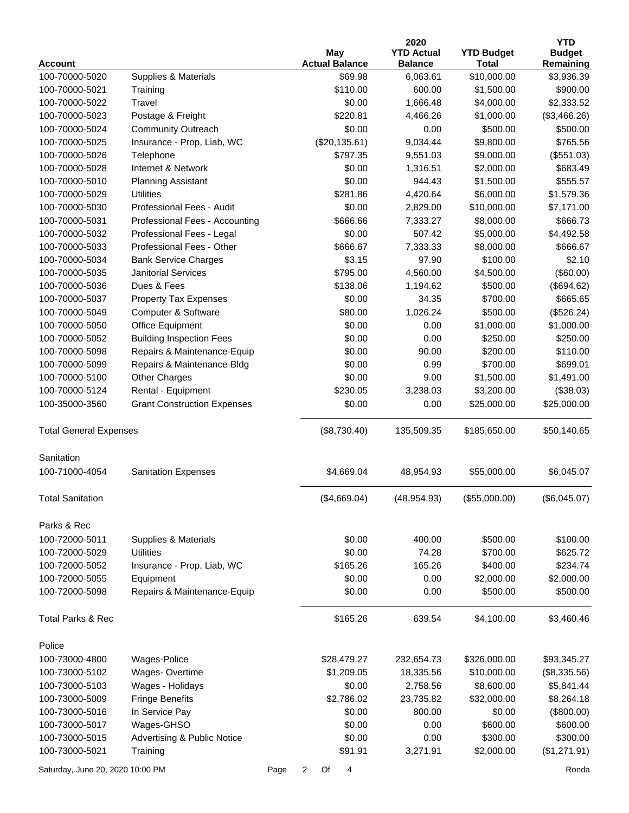|                                  |                                        |      |                |                                     | 2020                                |                                   | <b>YTD</b>                 |
|----------------------------------|----------------------------------------|------|----------------|-------------------------------------|-------------------------------------|-----------------------------------|----------------------------|
| <b>Account</b>                   |                                        |      |                | <b>May</b><br><b>Actual Balance</b> | <b>YTD Actual</b><br><b>Balance</b> | <b>YTD Budget</b><br><b>Total</b> | <b>Budget</b><br>Remaining |
| 100-70000-5020                   | Supplies & Materials                   |      |                | \$69.98                             | 6,063.61                            | \$10,000.00                       | \$3,936.39                 |
| 100-70000-5021                   | Training                               |      |                | \$110.00                            | 600.00                              | \$1,500.00                        | \$900.00                   |
| 100-70000-5022                   | Travel                                 |      |                | \$0.00                              | 1,666.48                            | \$4,000.00                        | \$2,333.52                 |
| 100-70000-5023                   | Postage & Freight                      |      |                | \$220.81                            | 4,466.26                            | \$1,000.00                        | (\$3,466.26)               |
| 100-70000-5024                   | <b>Community Outreach</b>              |      |                | \$0.00                              | 0.00                                | \$500.00                          | \$500.00                   |
| 100-70000-5025                   | Insurance - Prop, Liab, WC             |      |                | (\$20,135.61)                       | 9,034.44                            | \$9,800.00                        | \$765.56                   |
| 100-70000-5026                   | Telephone                              |      |                | \$797.35                            | 9,551.03                            | \$9,000.00                        | (\$551.03)                 |
| 100-70000-5028                   | Internet & Network                     |      |                | \$0.00                              | 1,316.51                            | \$2,000.00                        | \$683.49                   |
| 100-70000-5010                   | <b>Planning Assistant</b>              |      |                | \$0.00                              | 944.43                              | \$1,500.00                        | \$555.57                   |
| 100-70000-5029                   | <b>Utilities</b>                       |      |                | \$281.86                            | 4,420.64                            | \$6,000.00                        | \$1,579.36                 |
| 100-70000-5030                   | Professional Fees - Audit              |      |                | \$0.00                              | 2,829.00                            | \$10,000.00                       | \$7,171.00                 |
| 100-70000-5031                   | Professional Fees - Accounting         |      |                | \$666.66                            | 7,333.27                            | \$8,000.00                        | \$666.73                   |
| 100-70000-5032                   | Professional Fees - Legal              |      |                | \$0.00                              | 507.42                              | \$5,000.00                        | \$4,492.58                 |
| 100-70000-5033                   | Professional Fees - Other              |      |                | \$666.67                            | 7,333.33                            | \$8,000.00                        | \$666.67                   |
| 100-70000-5034                   | <b>Bank Service Charges</b>            |      |                | \$3.15                              | 97.90                               | \$100.00                          | \$2.10                     |
| 100-70000-5035                   | <b>Janitorial Services</b>             |      |                | \$795.00                            | 4,560.00                            | \$4,500.00                        | (\$60.00)                  |
| 100-70000-5036                   | Dues & Fees                            |      |                | \$138.06                            | 1,194.62                            | \$500.00                          | (\$694.62)                 |
| 100-70000-5037                   | <b>Property Tax Expenses</b>           |      |                | \$0.00                              | 34.35                               | \$700.00                          | \$665.65                   |
| 100-70000-5049                   | Computer & Software                    |      |                | \$80.00                             | 1,026.24                            | \$500.00                          | (\$526.24)                 |
| 100-70000-5050                   | Office Equipment                       |      |                | \$0.00                              | 0.00                                | \$1,000.00                        | \$1,000.00                 |
| 100-70000-5052                   | <b>Building Inspection Fees</b>        |      |                | \$0.00                              | 0.00                                | \$250.00                          | \$250.00                   |
| 100-70000-5098                   | Repairs & Maintenance-Equip            |      |                | \$0.00                              | 90.00                               | \$200.00                          | \$110.00                   |
| 100-70000-5099                   | Repairs & Maintenance-Bldg             |      |                | \$0.00                              | 0.99                                | \$700.00                          | \$699.01                   |
| 100-70000-5100                   | <b>Other Charges</b>                   |      |                | \$0.00                              | 9.00                                | \$1,500.00                        | \$1,491.00                 |
| 100-70000-5124                   | Rental - Equipment                     |      |                | \$230.05                            | 3,238.03                            | \$3,200.00                        | (\$38.03)                  |
| 100-35000-3560                   | <b>Grant Construction Expenses</b>     |      |                | \$0.00                              | 0.00                                | \$25,000.00                       | \$25,000.00                |
|                                  |                                        |      |                |                                     |                                     |                                   |                            |
| <b>Total General Expenses</b>    |                                        |      |                | (\$8,730.40)                        | 135,509.35                          | \$185,650.00                      | \$50,140.65                |
| Sanitation                       |                                        |      |                |                                     |                                     |                                   |                            |
| 100-71000-4054                   | <b>Sanitation Expenses</b>             |      |                | \$4,669.04                          | 48,954.93                           | \$55,000.00                       | \$6,045.07                 |
| <b>Total Sanitation</b>          |                                        |      |                | (\$4,669.04)                        | (48, 954.93)                        | (\$55,000.00)                     | (\$6,045.07)               |
| Parks & Rec                      |                                        |      |                |                                     |                                     |                                   |                            |
| 100-72000-5011                   | Supplies & Materials                   |      |                | \$0.00                              | 400.00                              | \$500.00                          | \$100.00                   |
| 100-72000-5029                   | <b>Utilities</b>                       |      |                | \$0.00                              | 74.28                               | \$700.00                          | \$625.72                   |
| 100-72000-5052                   | Insurance - Prop, Liab, WC             |      |                | \$165.26                            | 165.26                              | \$400.00                          | \$234.74                   |
| 100-72000-5055                   | Equipment                              |      |                | \$0.00                              | 0.00                                | \$2,000.00                        | \$2,000.00                 |
| 100-72000-5098                   | Repairs & Maintenance-Equip            |      |                | \$0.00                              | 0.00                                | \$500.00                          | \$500.00                   |
| <b>Total Parks &amp; Rec</b>     |                                        |      |                | \$165.26                            | 639.54                              | \$4,100.00                        | \$3,460.46                 |
| Police                           |                                        |      |                |                                     |                                     |                                   |                            |
| 100-73000-4800                   | Wages-Police                           |      |                | \$28,479.27                         | 232,654.73                          | \$326,000.00                      | \$93,345.27                |
| 100-73000-5102                   | Wages-Overtime                         |      |                | \$1,209.05                          | 18,335.56                           | \$10,000.00                       | (\$8,335.56)               |
| 100-73000-5103                   | Wages - Holidays                       |      |                | \$0.00                              | 2,758.56                            | \$8,600.00                        | \$5,841.44                 |
| 100-73000-5009                   | <b>Fringe Benefits</b>                 |      |                | \$2,786.02                          | 23,735.82                           | \$32,000.00                       | \$8,264.18                 |
| 100-73000-5016                   | In Service Pay                         |      |                | \$0.00                              | 800.00                              | \$0.00                            | (\$800.00)                 |
| 100-73000-5017                   | Wages-GHSO                             |      |                | \$0.00                              | 0.00                                | \$600.00                          | \$600.00                   |
| 100-73000-5015                   | <b>Advertising &amp; Public Notice</b> |      |                | \$0.00                              | 0.00                                | \$300.00                          | \$300.00                   |
| 100-73000-5021                   | Training                               |      |                | \$91.91                             | 3,271.91                            | \$2,000.00                        | (\$1,271.91)               |
| Saturday, June 20, 2020 10:00 PM |                                        | Page | $\overline{a}$ | Of<br>4                             |                                     |                                   | Ronda                      |
|                                  |                                        |      |                |                                     |                                     |                                   |                            |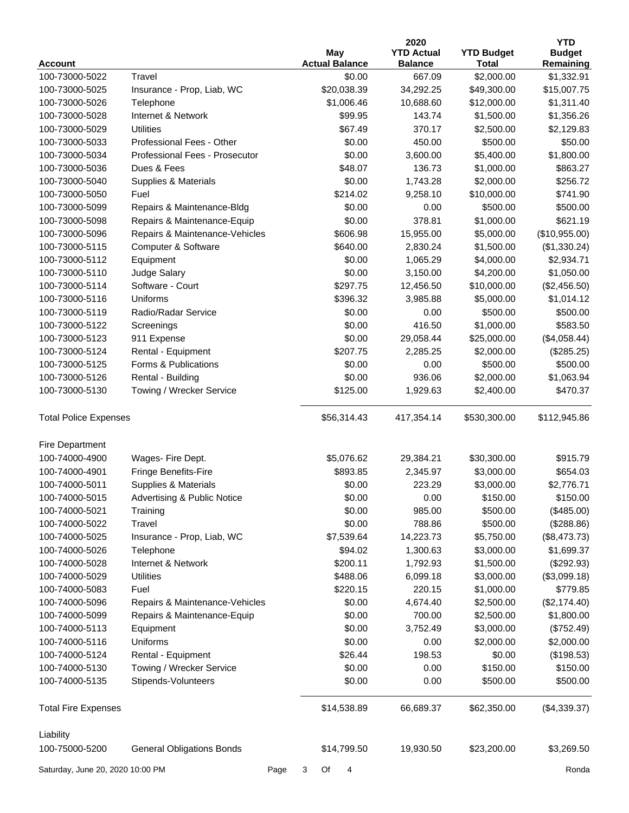|                                  |                                  |                       | 2020              |                   | <b>YTD</b>    |
|----------------------------------|----------------------------------|-----------------------|-------------------|-------------------|---------------|
|                                  |                                  | May                   | <b>YTD Actual</b> | <b>YTD Budget</b> | <b>Budget</b> |
| <b>Account</b>                   |                                  | <b>Actual Balance</b> | <b>Balance</b>    | <b>Total</b>      | Remaining     |
| 100-73000-5022                   | Travel                           | \$0.00                | 667.09            | \$2,000.00        | \$1,332.91    |
| 100-73000-5025                   | Insurance - Prop, Liab, WC       | \$20,038.39           | 34,292.25         | \$49,300.00       | \$15,007.75   |
| 100-73000-5026                   | Telephone                        | \$1,006.46            | 10,688.60         | \$12,000.00       | \$1,311.40    |
| 100-73000-5028                   | Internet & Network               | \$99.95               | 143.74            | \$1,500.00        | \$1,356.26    |
| 100-73000-5029                   | <b>Utilities</b>                 | \$67.49               | 370.17            | \$2,500.00        | \$2,129.83    |
| 100-73000-5033                   | Professional Fees - Other        | \$0.00                | 450.00            | \$500.00          | \$50.00       |
| 100-73000-5034                   | Professional Fees - Prosecutor   | \$0.00                | 3,600.00          | \$5,400.00        | \$1,800.00    |
| 100-73000-5036                   | Dues & Fees                      | \$48.07               | 136.73            | \$1,000.00        | \$863.27      |
| 100-73000-5040                   | Supplies & Materials             | \$0.00                | 1,743.28          | \$2,000.00        | \$256.72      |
| 100-73000-5050                   | Fuel                             | \$214.02              | 9,258.10          | \$10,000.00       | \$741.90      |
| 100-73000-5099                   | Repairs & Maintenance-Bldg       | \$0.00                | 0.00              | \$500.00          | \$500.00      |
| 100-73000-5098                   | Repairs & Maintenance-Equip      | \$0.00                | 378.81            | \$1,000.00        | \$621.19      |
| 100-73000-5096                   | Repairs & Maintenance-Vehicles   | \$606.98              | 15,955.00         | \$5,000.00        | (\$10,955.00) |
| 100-73000-5115                   | Computer & Software              | \$640.00              | 2,830.24          | \$1,500.00        | (\$1,330.24)  |
| 100-73000-5112                   | Equipment                        | \$0.00                | 1,065.29          | \$4,000.00        | \$2,934.71    |
| 100-73000-5110                   | Judge Salary                     | \$0.00                | 3,150.00          | \$4,200.00        | \$1,050.00    |
| 100-73000-5114                   | Software - Court                 | \$297.75              | 12,456.50         | \$10,000.00       | (\$2,456.50)  |
| 100-73000-5116                   | Uniforms                         | \$396.32              | 3,985.88          | \$5,000.00        | \$1,014.12    |
| 100-73000-5119                   | Radio/Radar Service              | \$0.00                | 0.00              | \$500.00          | \$500.00      |
| 100-73000-5122                   | Screenings                       | \$0.00                | 416.50            | \$1,000.00        | \$583.50      |
| 100-73000-5123                   | 911 Expense                      | \$0.00                | 29,058.44         | \$25,000.00       | (\$4,058.44)  |
| 100-73000-5124                   | Rental - Equipment               | \$207.75              | 2,285.25          | \$2,000.00        | (\$285.25)    |
| 100-73000-5125                   | Forms & Publications             | \$0.00                | 0.00              | \$500.00          | \$500.00      |
| 100-73000-5126                   | Rental - Building                | \$0.00                | 936.06            | \$2,000.00        | \$1,063.94    |
| 100-73000-5130                   | Towing / Wrecker Service         | \$125.00              | 1,929.63          | \$2,400.00        | \$470.37      |
| <b>Total Police Expenses</b>     |                                  | \$56,314.43           | 417,354.14        | \$530,300.00      | \$112,945.86  |
| Fire Department                  |                                  |                       |                   |                   |               |
| 100-74000-4900                   | Wages- Fire Dept.                | \$5,076.62            | 29,384.21         | \$30,300.00       | \$915.79      |
| 100-74000-4901                   | Fringe Benefits-Fire             | \$893.85              | 2,345.97          | \$3,000.00        | \$654.03      |
| 100-74000-5011                   | Supplies & Materials             | \$0.00                | 223.29            | \$3,000.00        | \$2,776.71    |
| 100-74000-5015                   | Advertising & Public Notice      | \$0.00                | 0.00              | \$150.00          | \$150.00      |
| 100-74000-5021                   | Training                         | \$0.00                | 985.00            | \$500.00          | (\$485.00)    |
| 100-74000-5022                   | Travel                           | \$0.00                | 788.86            | \$500.00          | (\$288.86)    |
| 100-74000-5025                   | Insurance - Prop, Liab, WC       | \$7,539.64            | 14,223.73         | \$5,750.00        | (\$8,473.73)  |
| 100-74000-5026                   | Telephone                        | \$94.02               | 1,300.63          | \$3,000.00        | \$1,699.37    |
| 100-74000-5028                   | Internet & Network               | \$200.11              | 1,792.93          | \$1,500.00        | (\$292.93)    |
| 100-74000-5029                   | <b>Utilities</b>                 | \$488.06              | 6,099.18          | \$3,000.00        | (\$3,099.18)  |
| 100-74000-5083                   | Fuel                             | \$220.15              | 220.15            | \$1,000.00        | \$779.85      |
| 100-74000-5096                   | Repairs & Maintenance-Vehicles   | \$0.00                | 4,674.40          | \$2,500.00        | (\$2,174.40)  |
| 100-74000-5099                   | Repairs & Maintenance-Equip      | \$0.00                | 700.00            | \$2,500.00        | \$1,800.00    |
| 100-74000-5113                   | Equipment                        | \$0.00                | 3,752.49          | \$3,000.00        | (\$752.49)    |
| 100-74000-5116                   | Uniforms                         | \$0.00                | 0.00              | \$2,000.00        | \$2,000.00    |
| 100-74000-5124                   | Rental - Equipment               | \$26.44               | 198.53            | \$0.00            | (\$198.53)    |
| 100-74000-5130                   | Towing / Wrecker Service         | \$0.00                | 0.00              | \$150.00          | \$150.00      |
| 100-74000-5135                   | Stipends-Volunteers              | \$0.00                | 0.00              | \$500.00          | \$500.00      |
| <b>Total Fire Expenses</b>       |                                  | \$14,538.89           | 66,689.37         | \$62,350.00       | (\$4,339.37)  |
| Liability                        |                                  |                       |                   |                   |               |
| 100-75000-5200                   | <b>General Obligations Bonds</b> | \$14,799.50           | 19,930.50         | \$23,200.00       | \$3,269.50    |
| Saturday, June 20, 2020 10:00 PM | Page                             | 3<br>Of<br>4          |                   |                   | Ronda         |